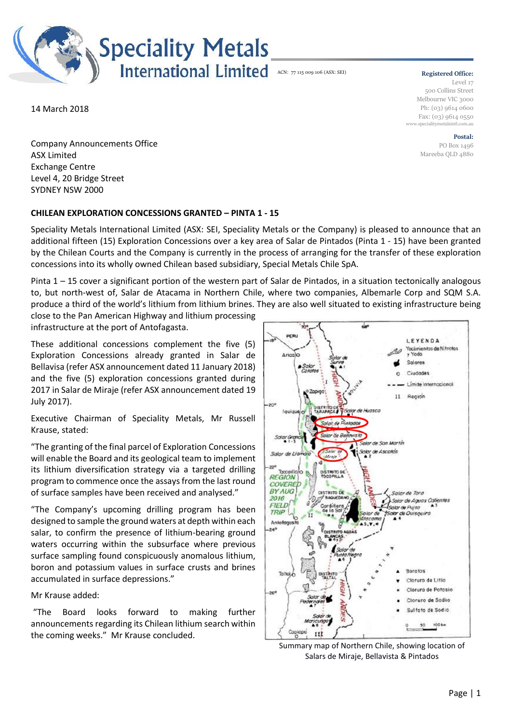

## **Registered Office:**

Level 17 500 Collins Street Melbourne VIC 3000 Ph: (03) 9614 0600 Fax: (03) 9614 0550 www.specialitymetalsintl.com.au

> **Postal:** PO Box 1496 Mareeba QLD 4880

14 March 2018

Company Announcements Office ASX Limited Exchange Centre Level 4, 20 Bridge Street SYDNEY NSW 2000

## **CHILEAN EXPLORATION CONCESSIONS GRANTED – PINTA 1 - 15**

Speciality Metals International Limited (ASX: SEI, Speciality Metals or the Company) is pleased to announce that an additional fifteen (15) Exploration Concessions over a key area of Salar de Pintados (Pinta 1 - 15) have been granted by the Chilean Courts and the Company is currently in the process of arranging for the transfer of these exploration concessions into its wholly owned Chilean based subsidiary, Special Metals Chile SpA.

Pinta 1 – 15 cover a significant portion of the western part of Salar de Pintados, in a situation tectonically analogous to, but north-west of, Salar de Atacama in Northern Chile, where two companies, Albemarle Corp and SQM S.A. produce a third of the world's lithium from lithium brines. They are also well situated to existing infrastructure being

close to the Pan American Highway and lithium processing infrastructure at the port of Antofagasta.

These additional concessions complement the five (5) Exploration Concessions already granted in Salar de Bellavisa (refer ASX announcement dated 11 January 2018) and the five (5) exploration concessions granted during 2017 in Salar de Miraje (refer ASX announcement dated 19 July 2017).

Executive Chairman of Speciality Metals, Mr Russell Krause, stated:

"The granting of the final parcel of Exploration Concessions will enable the Board and its geological team to implement its lithium diversification strategy via a targeted drilling program to commence once the assays from the last round of surface samples have been received and analysed."

"The Company's upcoming drilling program has been designed to sample the ground waters at depth within each salar, to confirm the presence of lithium-bearing ground waters occurring within the subsurface where previous surface sampling found conspicuously anomalous lithium, boron and potassium values in surface crusts and brines accumulated in surface depressions."

Mr Krause added:

"The Board looks forward to making further announcements regarding its Chilean lithium search within the coming weeks." Mr Krause concluded.



Summary map of Northern Chile, showing location of Salars de Miraje, Bellavista & Pintados